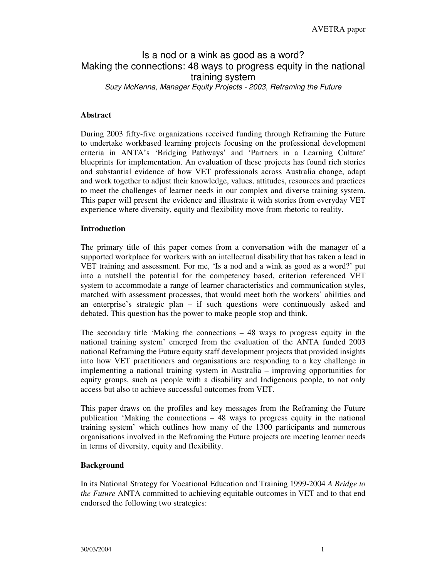# Is a nod or a wink as good as a word? Making the connections: 48 ways to progress equity in the national training system *Suzy McKenna, Manager Equity Projects - 2003, Reframing the Future*

## **Abstract**

During 2003 fifty-five organizations received funding through Reframing the Future to undertake workbased learning projects focusing on the professional development criteria in ANTA's 'Bridging Pathways' and 'Partners in a Learning Culture' blueprints for implementation. An evaluation of these projects has found rich stories and substantial evidence of how VET professionals across Australia change, adapt and work together to adjust their knowledge, values, attitudes, resources and practices to meet the challenges of learner needs in our complex and diverse training system. This paper will present the evidence and illustrate it with stories from everyday VET experience where diversity, equity and flexibility move from rhetoric to reality.

## **Introduction**

The primary title of this paper comes from a conversation with the manager of a supported workplace for workers with an intellectual disability that has taken a lead in VET training and assessment. For me, 'Is a nod and a wink as good as a word?' put into a nutshell the potential for the competency based, criterion referenced VET system to accommodate a range of learner characteristics and communication styles, matched with assessment processes, that would meet both the workers' abilities and an enterprise's strategic plan – if such questions were continuously asked and debated. This question has the power to make people stop and think.

The secondary title 'Making the connections  $-48$  ways to progress equity in the national training system' emerged from the evaluation of the ANTA funded 2003 national Reframing the Future equity staff development projects that provided insights into how VET practitioners and organisations are responding to a key challenge in implementing a national training system in Australia – improving opportunities for equity groups, such as people with a disability and Indigenous people, to not only access but also to achieve successful outcomes from VET.

This paper draws on the profiles and key messages from the Reframing the Future publication 'Making the connections – 48 ways to progress equity in the national training system' which outlines how many of the 1300 participants and numerous organisations involved in the Reframing the Future projects are meeting learner needs in terms of diversity, equity and flexibility.

## **Background**

In its National Strategy for Vocational Education and Training 1999-2004 *A Bridge to the Future* ANTA committed to achieving equitable outcomes in VET and to that end endorsed the following two strategies: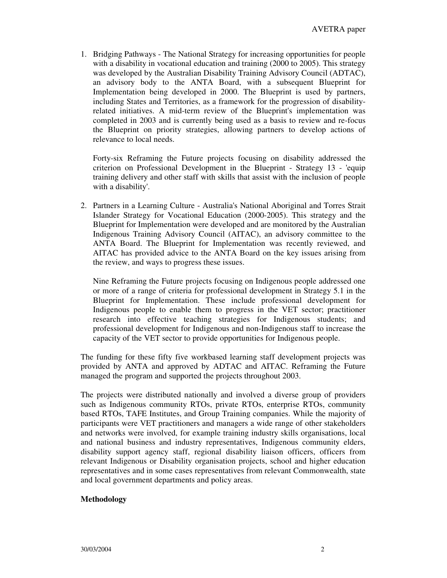1. Bridging Pathways - The National Strategy for increasing opportunities for people with a disability in vocational education and training (2000 to 2005). This strategy was developed by the Australian Disability Training Advisory Council (ADTAC), an advisory body to the ANTA Board, with a subsequent Blueprint for Implementation being developed in 2000. The Blueprint is used by partners, including States and Territories, as a framework for the progression of disabilityrelated initiatives. A mid-term review of the Blueprint's implementation was completed in 2003 and is currently being used as a basis to review and re-focus the Blueprint on priority strategies, allowing partners to develop actions of relevance to local needs.

Forty-six Reframing the Future projects focusing on disability addressed the criterion on Professional Development in the Blueprint - Strategy 13 - 'equip training delivery and other staff with skills that assist with the inclusion of people with a disability'.

2. Partners in a Learning Culture - Australia's National Aboriginal and Torres Strait Islander Strategy for Vocational Education (2000-2005). This strategy and the Blueprint for Implementation were developed and are monitored by the Australian Indigenous Training Advisory Council (AITAC), an advisory committee to the ANTA Board. The Blueprint for Implementation was recently reviewed, and AITAC has provided advice to the ANTA Board on the key issues arising from the review, and ways to progress these issues.

Nine Reframing the Future projects focusing on Indigenous people addressed one or more of a range of criteria for professional development in Strategy 5.1 in the Blueprint for Implementation. These include professional development for Indigenous people to enable them to progress in the VET sector; practitioner research into effective teaching strategies for Indigenous students; and professional development for Indigenous and non-Indigenous staff to increase the capacity of the VET sector to provide opportunities for Indigenous people.

The funding for these fifty five workbased learning staff development projects was provided by ANTA and approved by ADTAC and AITAC. Reframing the Future managed the program and supported the projects throughout 2003.

The projects were distributed nationally and involved a diverse group of providers such as Indigenous community RTOs, private RTOs, enterprise RTOs, community based RTOs, TAFE Institutes, and Group Training companies. While the majority of participants were VET practitioners and managers a wide range of other stakeholders and networks were involved, for example training industry skills organisations, local and national business and industry representatives, Indigenous community elders, disability support agency staff, regional disability liaison officers, officers from relevant Indigenous or Disability organisation projects, school and higher education representatives and in some cases representatives from relevant Commonwealth, state and local government departments and policy areas.

## **Methodology**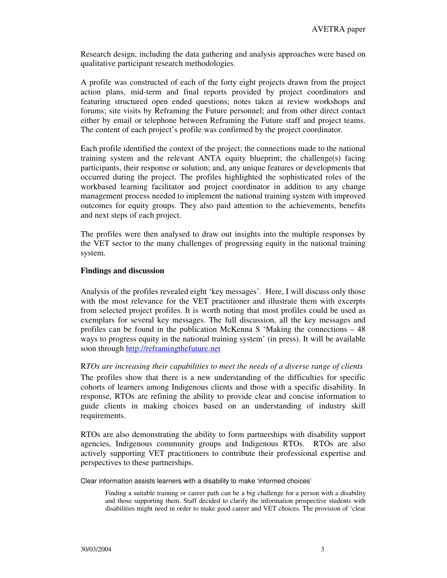Research design, including the data gathering and analysis approaches were based on qualitative participant research methodologies.

A profile was constructed of each of the forty eight projects drawn from the project action plans, mid-term and final reports provided by project coordinators and featuring structured open ended questions; notes taken at review workshops and forums; site visits by Reframing the Future personnel; and from other direct contact either by email or telephone between Reframing the Future staff and project teams. The content of each project's profile was confirmed by the project coordinator.

Each profile identified the context of the project; the connections made to the national training system and the relevant ANTA equity blueprint; the challenge(s) facing participants, their response or solution; and, any unique features or developments that occurred during the project. The profiles highlighted the sophisticated roles of the workbased learning facilitator and project coordinator in addition to any change management process needed to implement the national training system with improved outcomes for equity groups. They also paid attention to the achievements, benefits and next steps of each project.

The profiles were then analysed to draw out insights into the multiple responses by the VET sector to the many challenges of progressing equity in the national training system.

## **Findings and discussion**

Analysis of the profiles revealed eight 'key messages'. Here, I will discuss only those with the most relevance for the VET practitioner and illustrate them with excerpts from selected project profiles. It is worth noting that most profiles could be used as exemplars for several key messages. The full discussion, all the key messages and profiles can be found in the publication McKenna S 'Making the connections – 48 ways to progress equity in the national training system' (in press). It will be available soon through http://reframingthefuture.net

## R*TOs are increasing their capabilities to meet the needs of a diverse range of clients*

The profiles show that there is a new understanding of the difficulties for specific cohorts of learners among Indigenous clients and those with a specific disability. In response, RTOs are refining the ability to provide clear and concise information to guide clients in making choices based on an understanding of industry skill requirements.

RTOs are also demonstrating the ability to form partnerships with disability support agencies, Indigenous community groups and Indigenous RTOs. RTOs are also actively supporting VET practitioners to contribute their professional expertise and perspectives to these partnerships.

Clear information assists learners with a disability to make 'informed choices'

Finding a suitable training or career path can be a big challenge for a person with a disability and those supporting them. Staff decided to clarify the information prospective students with disabilities might need in order to make good career and VET choices. The provision of 'clear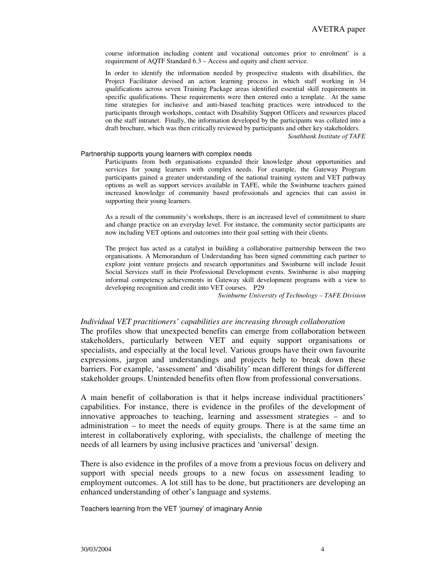course information including content and vocational outcomes prior to enrolment' is a requirement of AQTF Standard 6.3 – Access and equity and client service.

In order to identify the information needed by prospective students with disabilities, the Project Facilitator devised an action learning process in which staff working in 34 qualifications across seven Training Package areas identified essential skill requirements in specific qualifications. These requirements were then entered onto a template. At the same time strategies for inclusive and anti-biased teaching practices were introduced to the participants through workshops, contact with Disability Support Officers and resources placed on the staff intranet. Finally, the information developed by the participants was collated into a draft brochure, which was then critically reviewed by participants and other key stakeholders.

*Southbank Institute of TAFE*

### Partnership supports young learners with complex needs

Participants from both organisations expanded their knowledge about opportunities and services for young learners with complex needs. For example, the Gateway Program participants gained a greater understanding of the national training system and VET pathway options as well as support services available in TAFE, while the Swinburne teachers gained increased knowledge of community based professionals and agencies that can assist in supporting their young learners.

As a result of the community's workshops, there is an increased level of commitment to share and change practice on an everyday level. For instance, the community sector participants are now including VET options and outcomes into their goal setting with their clients.

The project has acted as a catalyst in building a collaborative partnership between the two organisations. A Memorandum of Understanding has been signed committing each partner to explore joint venture projects and research opportunities and Swinburne will include Jesuit Social Services staff in their Professional Development events. Swinburne is also mapping informal competency achievements in Gateway skill development programs with a view to developing recognition and credit into VET courses. P29

*Swinburne University of Technology – TAFE Division*

## *Individual VET practitioners' capabilities are increasing through collaboration*

The profiles show that unexpected benefits can emerge from collaboration between stakeholders, particularly between VET and equity support organisations or specialists, and especially at the local level. Various groups have their own favourite expressions, jargon and understandings and projects help to break down these barriers. For example, 'assessment' and 'disability' mean different things for different stakeholder groups. Unintended benefits often flow from professional conversations.

A main benefit of collaboration is that it helps increase individual practitioners' capabilities. For instance, there is evidence in the profiles of the development of innovative approaches to teaching, learning and assessment strategies – and to administration – to meet the needs of equity groups. There is at the same time an interest in collaboratively exploring, with specialists, the challenge of meeting the needs of all learners by using inclusive practices and 'universal' design.

There is also evidence in the profiles of a move from a previous focus on delivery and support with special needs groups to a new focus on assessment leading to employment outcomes. A lot still has to be done, but practitioners are developing an enhanced understanding of other's language and systems.

Teachers learning from the VET 'journey' of imaginary Annie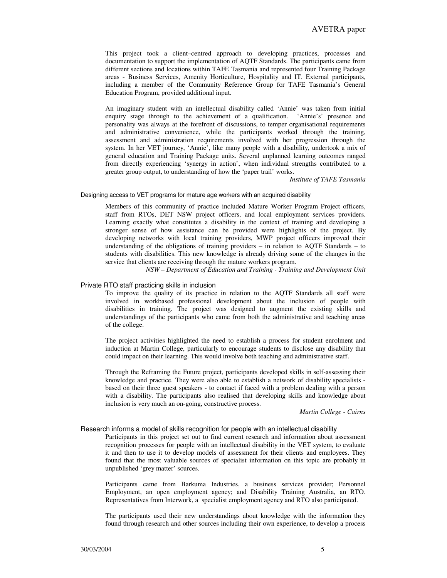This project took a client–centred approach to developing practices, processes and documentation to support the implementation of AQTF Standards. The participants came from different sections and locations within TAFE Tasmania and represented four Training Package areas - Business Services, Amenity Horticulture, Hospitality and IT. External participants, including a member of the Community Reference Group for TAFE Tasmania's General Education Program, provided additional input.

An imaginary student with an intellectual disability called 'Annie' was taken from initial enquiry stage through to the achievement of a qualification. 'Annie's' presence and personality was always at the forefront of discussions, to temper organisational requirements and administrative convenience, while the participants worked through the training, assessment and administration requirements involved with her progression through the system. In her VET journey, 'Annie', like many people with a disability, undertook a mix of general education and Training Package units. Several unplanned learning outcomes ranged from directly experiencing 'synergy in action', when individual strengths contributed to a greater group output, to understanding of how the 'paper trail' works.

*Institute of TAFE Tasmania*

Designing access to VET programs for mature age workers with an acquired disability

Members of this community of practice included Mature Worker Program Project officers, staff from RTOs, DET NSW project officers, and local employment services providers. Learning exactly what constitutes a disability in the context of training and developing a stronger sense of how assistance can be provided were highlights of the project. By developing networks with local training providers, MWP project officers improved their understanding of the obligations of training providers – in relation to AQTF Standards – to students with disabilities. This new knowledge is already driving some of the changes in the service that clients are receiving through the mature workers program.

*NSW – Department of Education and Training - Training and Development Unit*

## Private RTO staff practicing skills in inclusion

To improve the quality of its practice in relation to the AQTF Standards all staff were involved in workbased professional development about the inclusion of people with disabilities in training. The project was designed to augment the existing skills and understandings of the participants who came from both the administrative and teaching areas of the college.

The project activities highlighted the need to establish a process for student enrolment and induction at Martin College, particularly to encourage students to disclose any disability that could impact on their learning. This would involve both teaching and administrative staff.

Through the Reframing the Future project, participants developed skills in self-assessing their knowledge and practice. They were also able to establish a network of disability specialists based on their three guest speakers - to contact if faced with a problem dealing with a person with a disability. The participants also realised that developing skills and knowledge about inclusion is very much an on-going, constructive process.

#### *Martin College - Cairns*

#### Research informs a model of skills recognition for people with an intellectual disability

Participants in this project set out to find current research and information about assessment recognition processes for people with an intellectual disability in the VET system, to evaluate it and then to use it to develop models of assessment for their clients and employees. They found that the most valuable sources of specialist information on this topic are probably in unpublished 'grey matter' sources.

Participants came from Barkuma Industries, a business services provider; Personnel Employment, an open employment agency; and Disability Training Australia, an RTO. Representatives from Interwork, a specialist employment agency and RTO also participated.

The participants used their new understandings about knowledge with the information they found through research and other sources including their own experience, to develop a process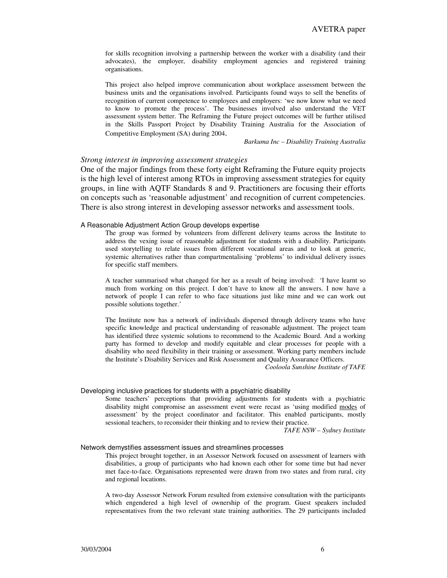for skills recognition involving a partnership between the worker with a disability (and their advocates), the employer, disability employment agencies and registered training organisations.

This project also helped improve communication about workplace assessment between the business units and the organisations involved. Participants found ways to sell the benefits of recognition of current competence to employees and employers: 'we now know what we need to know to promote the process'. The businesses involved also understand the VET assessment system better. The Reframing the Future project outcomes will be further utilised in the Skills Passport Project by Disability Training Australia for the Association of Competitive Employment (SA) during 2004.

*Barkuma Inc – Disability Training Australia*

## *Strong interest in improving assessment strategies*

One of the major findings from these forty eight Reframing the Future equity projects is the high level of interest among RTOs in improving assessment strategies for equity groups, in line with AQTF Standards 8 and 9. Practitioners are focusing their efforts on concepts such as 'reasonable adjustment' and recognition of current competencies. There is also strong interest in developing assessor networks and assessment tools.

### A Reasonable Adjustment Action Group develops expertise

The group was formed by volunteers from different delivery teams across the Institute to address the vexing issue of reasonable adjustment for students with a disability. Participants used storytelling to relate issues from different vocational areas and to look at generic, systemic alternatives rather than compartmentalising 'problems' to individual delivery issues for specific staff members.

A teacher summarised what changed for her as a result of being involved: 'I have learnt so much from working on this project. I don't have to know all the answers. I now have a network of people I can refer to who face situations just like mine and we can work out possible solutions together.'

The Institute now has a network of individuals dispersed through delivery teams who have specific knowledge and practical understanding of reasonable adjustment. The project team has identified three systemic solutions to recommend to the Academic Board. And a working party has formed to develop and modify equitable and clear processes for people with a disability who need flexibility in their training or assessment. Working party members include the Institute's Disability Services and Risk Assessment and Quality Assurance Officers.

*Cooloola Sunshine Institute of TAFE*

#### Developing inclusive practices for students with a psychiatric disability

Some teachers' perceptions that providing adjustments for students with a psychiatric disability might compromise an assessment event were recast as 'using modified modes of assessment' by the project coordinator and facilitator. This enabled participants, mostly sessional teachers, to reconsider their thinking and to review their practice.

*TAFE NSW – Sydney Institute*

#### Network demystifies assessment issues and streamlines processes

This project brought together, in an Assessor Network focused on assessment of learners with disabilities, a group of participants who had known each other for some time but had never met face-to-face. Organisations represented were drawn from two states and from rural, city and regional locations.

A two-day Assessor Network Forum resulted from extensive consultation with the participants which engendered a high level of ownership of the program. Guest speakers included representatives from the two relevant state training authorities. The 29 participants included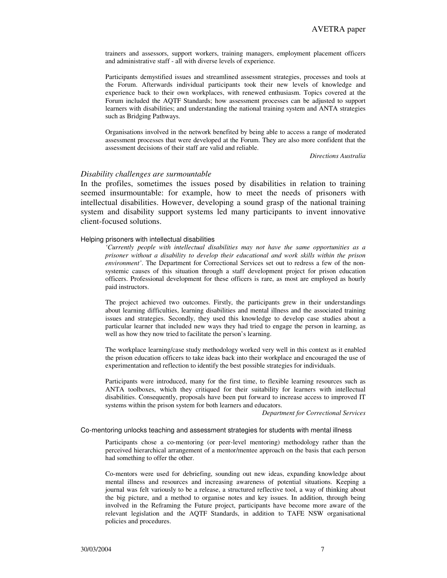trainers and assessors, support workers, training managers, employment placement officers and administrative staff - all with diverse levels of experience.

Participants demystified issues and streamlined assessment strategies, processes and tools at the Forum. Afterwards individual participants took their new levels of knowledge and experience back to their own workplaces, with renewed enthusiasm. Topics covered at the Forum included the AQTF Standards; how assessment processes can be adjusted to support learners with disabilities; and understanding the national training system and ANTA strategies such as Bridging Pathways.

Organisations involved in the network benefited by being able to access a range of moderated assessment processes that were developed at the Forum. They are also more confident that the assessment decisions of their staff are valid and reliable.

*Directions Australia*

## *Disability challenges are surmountable*

In the profiles, sometimes the issues posed by disabilities in relation to training seemed insurmountable: for example, how to meet the needs of prisoners with intellectual disabilities. However, developing a sound grasp of the national training system and disability support systems led many participants to invent innovative client-focused solutions.

#### Helping prisoners with intellectual disabilities

*'Currently people with intellectual disabilities may not have the same opportunities as a prisoner without a disability to develop their educational and work skills within the prison environment'*. The Department for Correctional Services set out to redress a few of the nonsystemic causes of this situation through a staff development project for prison education officers. Professional development for these officers is rare, as most are employed as hourly paid instructors.

The project achieved two outcomes. Firstly, the participants grew in their understandings about learning difficulties, learning disabilities and mental illness and the associated training issues and strategies. Secondly, they used this knowledge to develop case studies about a particular learner that included new ways they had tried to engage the person in learning, as well as how they now tried to facilitate the person's learning.

The workplace learning/case study methodology worked very well in this context as it enabled the prison education officers to take ideas back into their workplace and encouraged the use of experimentation and reflection to identify the best possible strategies for individuals.

Participants were introduced, many for the first time, to flexible learning resources such as ANTA toolboxes, which they critiqued for their suitability for learners with intellectual disabilities. Consequently, proposals have been put forward to increase access to improved IT systems within the prison system for both learners and educators.

*Department for Correctional Services*

#### Co-mentoring unlocks teaching and assessment strategies for students with mental illness

Participants chose a co-mentoring (or peer-level mentoring) methodology rather than the perceived hierarchical arrangement of a mentor/mentee approach on the basis that each person had something to offer the other.

Co-mentors were used for debriefing, sounding out new ideas, expanding knowledge about mental illness and resources and increasing awareness of potential situations. Keeping a journal was felt variously to be a release, a structured reflective tool, a way of thinking about the big picture, and a method to organise notes and key issues. In addition, through being involved in the Reframing the Future project, participants have become more aware of the relevant legislation and the AQTF Standards, in addition to TAFE NSW organisational policies and procedures.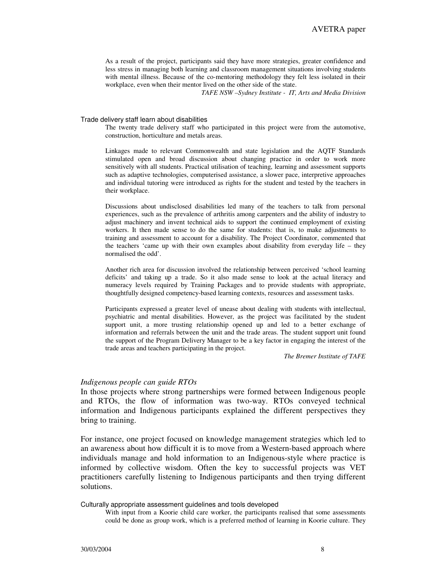As a result of the project, participants said they have more strategies, greater confidence and less stress in managing both learning and classroom management situations involving students with mental illness. Because of the co-mentoring methodology they felt less isolated in their workplace, even when their mentor lived on the other side of the state.

*TAFE NSW –Sydney Institute - IT, Arts and Media Division*

### Trade delivery staff learn about disabilities

The twenty trade delivery staff who participated in this project were from the automotive, construction, horticulture and metals areas.

Linkages made to relevant Commonwealth and state legislation and the AQTF Standards stimulated open and broad discussion about changing practice in order to work more sensitively with all students. Practical utilisation of teaching, learning and assessment supports such as adaptive technologies, computerised assistance, a slower pace, interpretive approaches and individual tutoring were introduced as rights for the student and tested by the teachers in their workplace.

Discussions about undisclosed disabilities led many of the teachers to talk from personal experiences, such as the prevalence of arthritis among carpenters and the ability of industry to adjust machinery and invent technical aids to support the continued employment of existing workers. It then made sense to do the same for students: that is, to make adjustments to training and assessment to account for a disability. The Project Coordinator, commented that the teachers 'came up with their own examples about disability from everyday life – they normalised the odd'.

Another rich area for discussion involved the relationship between perceived 'school learning deficits' and taking up a trade. So it also made sense to look at the actual literacy and numeracy levels required by Training Packages and to provide students with appropriate, thoughtfully designed competency-based learning contexts, resources and assessment tasks.

Participants expressed a greater level of unease about dealing with students with intellectual, psychiatric and mental disabilities. However, as the project was facilitated by the student support unit, a more trusting relationship opened up and led to a better exchange of information and referrals between the unit and the trade areas. The student support unit found the support of the Program Delivery Manager to be a key factor in engaging the interest of the trade areas and teachers participating in the project.

*The Bremer Institute of TAFE*

## *Indigenous people can guide RTOs*

In those projects where strong partnerships were formed between Indigenous people and RTOs, the flow of information was two-way. RTOs conveyed technical information and Indigenous participants explained the different perspectives they bring to training.

For instance, one project focused on knowledge management strategies which led to an awareness about how difficult it is to move from a Western-based approach where individuals manage and hold information to an Indigenous-style where practice is informed by collective wisdom. Often the key to successful projects was VET practitioners carefully listening to Indigenous participants and then trying different solutions.

Culturally appropriate assessment guidelines and tools developed

With input from a Koorie child care worker, the participants realised that some assessments could be done as group work, which is a preferred method of learning in Koorie culture. They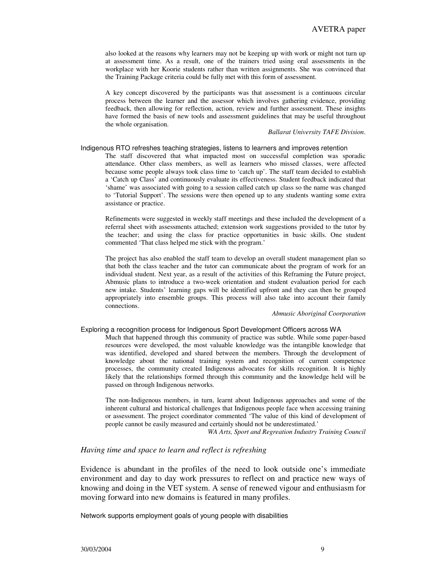also looked at the reasons why learners may not be keeping up with work or might not turn up at assessment time. As a result, one of the trainers tried using oral assessments in the workplace with her Koorie students rather than written assignments. She was convinced that the Training Package criteria could be fully met with this form of assessment.

A key concept discovered by the participants was that assessment is a continuous circular process between the learner and the assessor which involves gathering evidence, providing feedback, then allowing for reflection, action, review and further assessment. These insights have formed the basis of new tools and assessment guidelines that may be useful throughout the whole organisation.

### *Ballarat University TAFE Division*.

#### Indigenous RTO refreshes teaching strategies, listens to learners and improves retention

The staff discovered that what impacted most on successful completion was sporadic attendance. Other class members, as well as learners who missed classes, were affected because some people always took class time to 'catch up'. The staff team decided to establish a 'Catch up Class' and continuously evaluate its effectiveness. Student feedback indicated that 'shame' was associated with going to a session called catch up class so the name was changed to 'Tutorial Support'. The sessions were then opened up to any students wanting some extra assistance or practice.

Refinements were suggested in weekly staff meetings and these included the development of a referral sheet with assessments attached; extension work suggestions provided to the tutor by the teacher; and using the class for practice opportunities in basic skills. One student commented 'That class helped me stick with the program.'

The project has also enabled the staff team to develop an overall student management plan so that both the class teacher and the tutor can communicate about the program of work for an individual student. Next year, as a result of the activities of this Reframing the Future project, Abmusic plans to introduce a two-week orientation and student evaluation period for each new intake. Students' learning gaps will be identified upfront and they can then be grouped appropriately into ensemble groups. This process will also take into account their family connections.

#### *Abmusic Aboriginal Coorporation*

## Exploring a recognition process for Indigenous Sport Development Officers across WA

Much that happened through this community of practice was subtle. While some paper-based resources were developed, the most valuable knowledge was the intangible knowledge that was identified, developed and shared between the members. Through the development of knowledge about the national training system and recognition of current competence processes, the community created Indigenous advocates for skills recognition. It is highly likely that the relationships formed through this community and the knowledge held will be passed on through Indigenous networks.

The non-Indigenous members, in turn, learnt about Indigenous approaches and some of the inherent cultural and historical challenges that Indigenous people face when accessing training or assessment. The project coordinator commented 'The value of this kind of development of people cannot be easily measured and certainly should not be underestimated.'

*WA Arts, Sport and Regreation Industry Training Council*

## *Having time and space to learn and reflect is refreshing*

Evidence is abundant in the profiles of the need to look outside one's immediate environment and day to day work pressures to reflect on and practice new ways of knowing and doing in the VET system. A sense of renewed vigour and enthusiasm for moving forward into new domains is featured in many profiles.

Network supports employment goals of young people with disabilities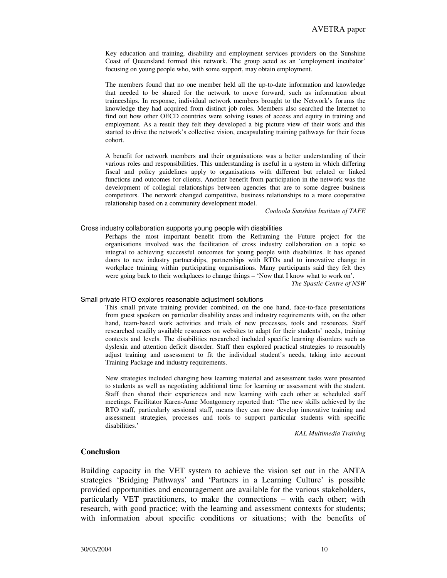Key education and training, disability and employment services providers on the Sunshine Coast of Queensland formed this network. The group acted as an 'employment incubator' focusing on young people who, with some support, may obtain employment.

The members found that no one member held all the up-to-date information and knowledge that needed to be shared for the network to move forward, such as information about traineeships. In response, individual network members brought to the Network's forums the knowledge they had acquired from distinct job roles. Members also searched the Internet to find out how other OECD countries were solving issues of access and equity in training and employment. As a result they felt they developed a big picture view of their work and this started to drive the network's collective vision, encapsulating training pathways for their focus cohort.

A benefit for network members and their organisations was a better understanding of their various roles and responsibilities. This understanding is useful in a system in which differing fiscal and policy guidelines apply to organisations with different but related or linked functions and outcomes for clients. Another benefit from participation in the network was the development of collegial relationships between agencies that are to some degree business competitors. The network changed competitive, business relationships to a more cooperative relationship based on a community development model.

*Cooloola Sunshine Institute of TAFE*

### Cross industry collaboration supports young people with disabilities

Perhaps the most important benefit from the Reframing the Future project for the organisations involved was the facilitation of cross industry collaboration on a topic so integral to achieving successful outcomes for young people with disabilities. It has opened doors to new industry partnerships, partnerships with RTOs and to innovative change in workplace training within participating organisations. Many participants said they felt they were going back to their workplaces to change things – 'Now that I know what to work on'.

*The Spastic Centre of NSW*

#### Small private RTO explores reasonable adjustment solutions

This small private training provider combined, on the one hand, face-to-face presentations from guest speakers on particular disability areas and industry requirements with, on the other hand, team-based work activities and trials of new processes, tools and resources. Staff researched readily available resources on websites to adapt for their students' needs, training contexts and levels. The disabilities researched included specific learning disorders such as dyslexia and attention deficit disorder. Staff then explored practical strategies to reasonably adjust training and assessment to fit the individual student's needs, taking into account Training Package and industry requirements.

New strategies included changing how learning material and assessment tasks were presented to students as well as negotiating additional time for learning or assessment with the student. Staff then shared their experiences and new learning with each other at scheduled staff meetings. Facilitator Karen-Anne Montgomery reported that: 'The new skills achieved by the RTO staff, particularly sessional staff, means they can now develop innovative training and assessment strategies, processes and tools to support particular students with specific disabilities.'

*KAL Multimedia Training*

## **Conclusion**

Building capacity in the VET system to achieve the vision set out in the ANTA strategies 'Bridging Pathways' and 'Partners in a Learning Culture' is possible provided opportunities and encouragement are available for the various stakeholders, particularly VET practitioners, to make the connections – with each other; with research, with good practice; with the learning and assessment contexts for students; with information about specific conditions or situations; with the benefits of